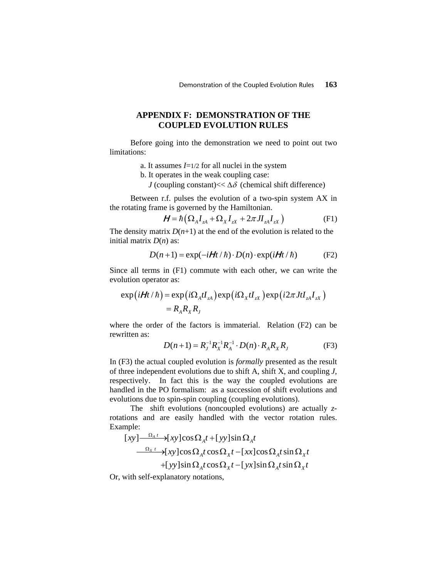## **APPENDIX F: DEMONSTRATION OF THE COUPLED EVOLUTION RULES**

Before going into the demonstration we need to point out two limitations:

- a. It assumes *I*=1/2 for all nuclei in the system
- b. It operates in the weak coupling case:

*J* (coupling constant) $<< \Delta \delta$  (chemical shift difference)

Between r.f. pulses the evolution of a two-spin system AX in the rotating frame is governed by the Hamiltonian.

$$
\boldsymbol{H} = \hbar \left( \Omega_A \boldsymbol{I}_{zA} + \Omega_X \boldsymbol{I}_{zX} + 2\pi J \boldsymbol{I}_{zA} \boldsymbol{I}_{zX} \right) \tag{F1}
$$

The density matrix  $D(n+1)$  at the end of the evolution is related to the initial matrix *D*(*n*) as:

$$
D(n+1) = \exp(-i\mathbf{H}t/\hbar) \cdot D(n) \cdot \exp(i\mathbf{H}t/\hbar)
$$
 (F2)

Since all terms in (F1) commute with each other, we can write the evolution operator as:

$$
\exp(i\boldsymbol{H}t/\hbar) = \exp(i\Omega_A t I_{zA}) \exp(i\Omega_X t I_{zX}) \exp(i2\pi J t I_{zA} I_{zX})
$$

$$
= R_A R_X R_J
$$

where the order of the factors is immaterial. Relation (F2) can be rewritten as:

$$
D(n+1) = R_J^{-1} R_X^{-1} R_A^{-1} \cdot D(n) \cdot R_A R_X R_J \tag{F3}
$$

In (F3) the actual coupled evolution is *formally* presented as the result of three independent evolutions due to shift A, shift X, and coupling *J*, respectively. In fact this is the way the coupled evolutions are handled in the PO formalism: as a succession of shift evolutions and evolutions due to spin-spin coupling (coupling evolutions).

The shift evolutions (noncoupled evolutions) are actually *z*rotations and are easily handled with the vector rotation rules. Example:

$$
\begin{aligned}\n [xy] \xrightarrow{\Omega_A t} \left\{ xy \right\} \cos \Omega_A t + [yy] \sin \Omega_A t \\
\xrightarrow{\Omega_X t} \left\{ xy \right\} \cos \Omega_A t \cos \Omega_X t - [xx] \cos \Omega_A t \sin \Omega_X t \\
\qquad + [yy] \sin \Omega_A t \cos \Omega_X t - [yx] \sin \Omega_A t \sin \Omega_X t\n \end{aligned}
$$

Or, with self-explanatory notations,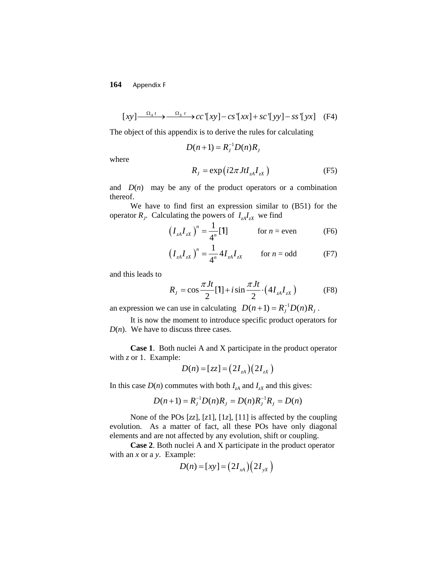## **164** Appendix F

$$
[xy] \xrightarrow{\Omega_A t} \xrightarrow{\Omega_X t} cc'[xy] - cs'[xx] + sc'[yy] - ss'[yx]
$$
 (F4)

The object of this appendix is to derive the rules for calculating

$$
D(n+1) = R_J^{-1}D(n)R_J
$$

where

$$
R_J = \exp(i2\pi J t I_{zA} I_{zx})
$$
 (F5)

and  $D(n)$  may be any of the product operators or a combination thereof.

We have to find first an expression similar to (B51) for the operator  $R_j$ . Calculating the powers of  $I_{zA}I_{zx}$  we find

$$
\left(I_{zA}I_{zX}\right)^{n} = \frac{1}{4^{n}}[\mathbf{1}] \qquad \text{for } n = \text{even} \qquad \text{(F6)}
$$

$$
\left(I_{zA}I_{zX}\right)^{n} = \frac{1}{4^{n}} 4I_{zA}I_{zX} \qquad \text{for } n = \text{odd} \tag{F7}
$$

and this leads to

$$
R_{J} = \cos \frac{\pi J t}{2} [1] + i \sin \frac{\pi J t}{2} \cdot (4 I_{zA} I_{zX})
$$
 (F8)

an expression we can use in calculating  $D(n+1) = R_J^{-1} D(n) R_J$ .

It is now the moment to introduce specific product operators for  $D(n)$ . We have to discuss three cases.

**Case 1**. Both nuclei A and X participate in the product operator with *z* or 1. Example:

$$
D(n) = [zz] = (2I_{zA})(2I_{zx})
$$

In this case  $D(n)$  commutes with both  $I_{zA}$  and  $I_{zX}$  and this gives:

$$
D(n+1) = R_j^{-1} D(n) R_j = D(n) R_j^{-1} R_j = D(n)
$$

None of the POs [*zz*], [*z*1], [1*z*], [11] is affected by the coupling evolution. As a matter of fact, all these POs have only diagonal elements and are not affected by any evolution, shift or coupling.

**Case 2**. Both nuclei A and X participate in the product operator with an *x* or a *y*. Example:

$$
D(n) = [xy] = (2I_{xA})(2I_{yx})
$$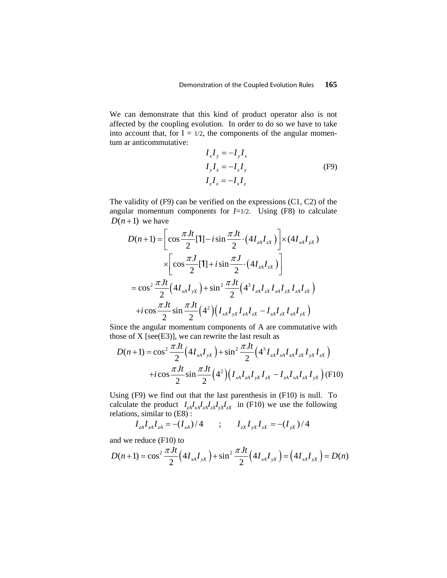We can demonstrate that this kind of product operator also is not affected by the coupling evolution. In order to do so we have to take into account that, for  $I = 1/2$ , the components of the angular momentum ar anticommutative:

$$
I_x I_y = -I_y I_x
$$
  
\n
$$
I_y I_z = -I_z I_y
$$
  
\n
$$
I_z I_x = -I_x I_z
$$
 (F9)

The validity of (F9) can be verified on the expressions (C1, C2) of the angular momentum components for  $I=1/2$ . Using (F8) to calculate  $D(n+1)$  we have

$$
D(n+1) = \left[\cos\frac{\pi Jt}{2}[1] - i\sin\frac{\pi Jt}{2} \cdot (4I_{zA}I_{zx})\right] \times (4I_{xA}I_{yx})
$$
  

$$
\times \left[\cos\frac{\pi J}{2}[1] + i\sin\frac{\pi J}{2} \cdot (4I_{zA}I_{zx})\right]
$$
  

$$
= \cos^2\frac{\pi Jt}{2}(4I_{xA}I_{yx}) + \sin^2\frac{\pi Jt}{2}(4^3I_{zA}I_{zx}I_{xA}I_{yx}I_{zA}I_{zx})
$$
  

$$
+ i\cos\frac{\pi Jt}{2}\sin\frac{\pi Jt}{2}(4^2)(I_{xA}I_{yx}I_{zA}I_{zx} - I_{zA}I_{zx}I_{xA}I_{yx})
$$

Since the angular momentum components of A are commutative with those of  $X$  [see(E3)], we can rewrite the last result as

$$
D(n+1) = \cos^2 \frac{\pi Jt}{2} \Big( 4I_{xA}I_{yx} \Big) + \sin^2 \frac{\pi Jt}{2} \Big( 4^3 I_{zA}I_{xA}I_{zA}I_{zx}I_{yx}I_{zx} \Big)
$$

$$
+ i \cos \frac{\pi Jt}{2} \sin \frac{\pi Jt}{2} \Big( 4^2 \Big) \Big( I_{xA}I_{zA}I_{yx}I_{zx} - I_{zA}I_{xA}I_{zx}I_{yx} \Big) \text{ (F10)}
$$

Using (F9) we find out that the last parenthesis in (F10) is null. To calculate the product  $I_{zA}I_{xA}I_{zA}I_{zX}I_{yX}I_{zX}$  in (F10) we use the following relations, similar to  $(E8)$ :

$$
I_{zA}I_{xA}I_{zA} = -(I_{xA})/4 \qquad ; \qquad I_{zX}I_{yX}I_{zx} = -(I_{yX})/4
$$

and we reduce (F10) to

$$
D(n+1) = \cos^2 \frac{\pi Jt}{2} \left( 4I_{xA}I_{yX} \right) + \sin^2 \frac{\pi Jt}{2} \left( 4I_{xA}I_{yX} \right) = \left( 4I_{xA}I_{yX} \right) = D(n)
$$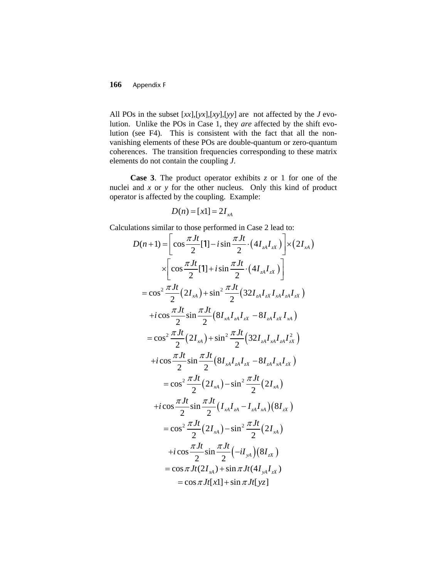## **166** Appendix F

All POs in the subset [*xx*],[*yx*],[*xy*],[*yy*] are not affected by the *J* evolution. Unlike the POs in Case 1, they *are* affected by the shift evolution (see F4). This is consistent with the fact that all the nonvanishing elements of these POs are double-quantum or zero-quantum coherences. The transition frequencies corresponding to these matrix elements do not contain the coupling *J*.

**Case 3**. The product operator exhibits *z* or 1 for one of the nuclei and *x* or *y* for the other nucleus. Only this kind of product operator is affected by the coupling. Example:

$$
D(n) = [x1] = 2I_{A}
$$

Calculations similar to those performed in Case 2 lead to:

$$
D(n+1) = \left[\cos\frac{\pi Jt}{2}[1] - i\sin\frac{\pi Jt}{2} \cdot (4I_{zA}I_{zx})\right] \times (2I_{xA})
$$
  
\n
$$
\times \left[\cos\frac{\pi Jt}{2}[1] + i\sin\frac{\pi Jt}{2} \cdot (4I_{zA}I_{zx})\right]
$$
  
\n
$$
= \cos^2\frac{\pi Jt}{2}(2I_{xA}) + \sin^2\frac{\pi Jt}{2}(32I_{zA}I_{zx}I_{xA}I_{zA}I_{zx})
$$
  
\n
$$
+ i\cos\frac{\pi Jt}{2}\sin\frac{\pi Jt}{2}(8I_{xA}I_{zA}I_{zx} - 8I_{zA}I_{zx}I_{xA})
$$
  
\n
$$
= \cos^2\frac{\pi Jt}{2}(2I_{xA}) + \sin^2\frac{\pi Jt}{2}(32I_{zA}I_{xA}I_{zA}I_{zx})
$$
  
\n
$$
+ i\cos\frac{\pi Jt}{2}\sin\frac{\pi Jt}{2}(8I_{xA}I_{zA}I_{zx} - 8I_{zA}I_{xA}I_{zx})
$$
  
\n
$$
= \cos^2\frac{\pi Jt}{2}(2I_{xA}) - \sin^2\frac{\pi Jt}{2}(2I_{xA})
$$
  
\n
$$
+ i\cos\frac{\pi Jt}{2}\sin\frac{\pi Jt}{2}(I_{xA}I_{zA} - I_{zA}I_{xA})(8I_{zx})
$$
  
\n
$$
= \cos^2\frac{\pi Jt}{2}(2I_{xA}) - \sin^2\frac{\pi Jt}{2}(2I_{xA})
$$
  
\n
$$
+ i\cos\frac{\pi Jt}{2}\sin\frac{\pi Jt}{2}(-iI_{ya})(8I_{zx})
$$
  
\n
$$
= \cos\pi Jt(2I_{xA}) + \sin\pi Jt(4I_{ya}I_{zx})
$$
  
\n
$$
= \cos\pi Jt[1] + \sin\pi Jt[yz]
$$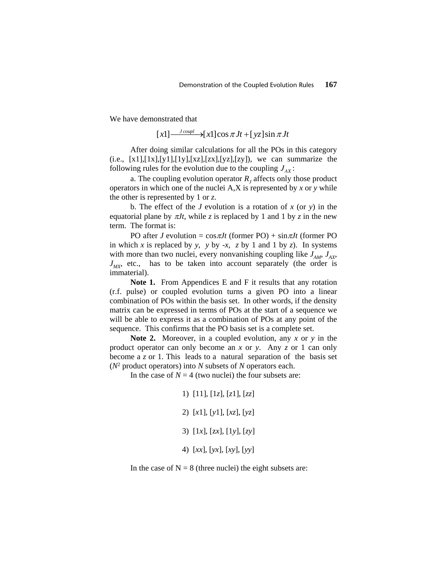We have demonstrated that

 $[x1] \longrightarrow [x1] \cos \pi Jt + [yz] \sin \pi Jt$ 

After doing similar calculations for all the POs in this category  $(i.e., [x1],[1x],[y1],[1y],[xz],[zx],[yz],[zy]),$  we can summarize the following rules for the evolution due to the coupling  $J_{AX}$ :

a. The coupling evolution operator  $R<sub>i</sub>$  affects only those product operators in which one of the nuclei A,X is represented by *x* or *y* while the other is represented by 1 or *z*.

b. The effect of the *J* evolution is a rotation of *x* (or *y*) in the equatorial plane by  $\pi Jt$ , while *z* is replaced by 1 and 1 by *z* in the new term. The format is:

PO after *J* evolution =  $\cos \pi Jt$  (former PO) +  $\sin \pi Jt$  (former PO) in which *x* is replaced by *y*, *y* by -*x*, *z* by 1 and 1 by *z*). In systems with more than two nuclei, every nonvanishing coupling like  $J_{AM}$ ,  $J_{AX}$ ,  $J_{MX}$ , etc., has to be taken into account separately (the order is immaterial).

**Note 1.** From Appendices E and F it results that any rotation (r.f. pulse) or coupled evolution turns a given PO into a linear combination of POs within the basis set. In other words, if the density matrix can be expressed in terms of POs at the start of a sequence we will be able to express it as a combination of POs at any point of the sequence. This confirms that the PO basis set is a complete set.

**Note 2.** Moreover, in a coupled evolution, any *x* or *y* in the product operator can only become an *x* or *y*. Any *z* or 1 can only become a *z* or 1. This leads to a natural separation of the basis set (*N*2 product operators) into *N* subsets of *N* operators each.

In the case of  $N = 4$  (two nuclei) the four subsets are:

- 1) [11], [1*z*], [*z*1], [*zz*]
- 2) [*x*1], [*y*1], [*xz*], [*yz*]
- 3) [1*x*], [z*x*], [1*y*], [*zy*]
- 4) [*xx*], [*yx*], [*xy*], [*yy*]

In the case of  $N = 8$  (three nuclei) the eight subsets are: